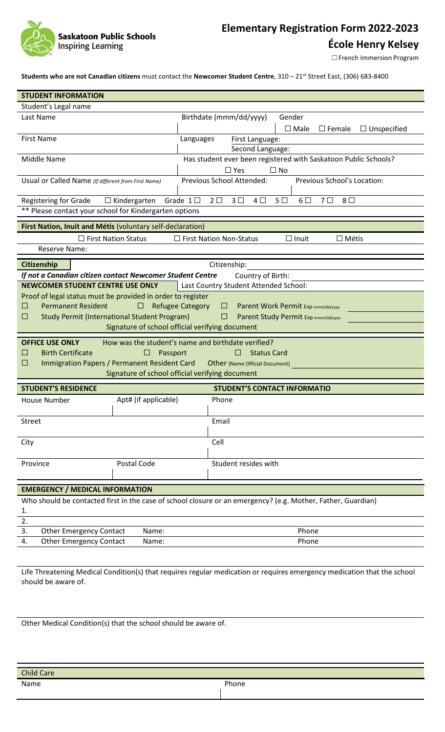

# **Elementary Registration Form 2022-2023**

**École Henry Kelsey**

□ French Immersion Program

**Students who are not Canadian citizens** must contact the **Newcomer Student Centre**, 310 – 21st Street East, (306) 683-8400

| <b>STUDENT INFORMATION</b>                                                                                      |                                                                                                                          |  |  |  |  |
|-----------------------------------------------------------------------------------------------------------------|--------------------------------------------------------------------------------------------------------------------------|--|--|--|--|
| Student's Legal name                                                                                            |                                                                                                                          |  |  |  |  |
| Last Name                                                                                                       | Birthdate (mmm/dd/yyyy)<br>Gender                                                                                        |  |  |  |  |
|                                                                                                                 | $\square$ Male<br>$\Box$ Unspecified<br>$\square$ Female                                                                 |  |  |  |  |
| <b>First Name</b>                                                                                               | Languages<br>First Language:                                                                                             |  |  |  |  |
|                                                                                                                 | Second Language:                                                                                                         |  |  |  |  |
| Middle Name                                                                                                     | Has student ever been registered with Saskatoon Public Schools?                                                          |  |  |  |  |
|                                                                                                                 | $\square$ Yes<br>$\Box$ No                                                                                               |  |  |  |  |
| Previous School Attended:<br>Previous School's Location:<br>Usual or Called Name (If different from First Name) |                                                                                                                          |  |  |  |  |
| Registering for Grade<br>$\Box$ Kindergarten                                                                    | Grade $1\square$<br>7 <sup>0</sup><br>$8\Box$<br>$2\square$<br>3 <sup>1</sup><br>$4\square$<br>5 <sub>0</sub><br>$6\Box$ |  |  |  |  |
| ** Please contact your school for Kindergarten options                                                          |                                                                                                                          |  |  |  |  |
| First Nation, Inuit and Métis (voluntary self-declaration)                                                      |                                                                                                                          |  |  |  |  |
| $\Box$ First Nation Status                                                                                      | $\Box$ First Nation Non-Status<br>$\Box$ Inuit<br>$\Box$ Métis                                                           |  |  |  |  |
| <b>Reserve Name:</b>                                                                                            |                                                                                                                          |  |  |  |  |
| Citizenship                                                                                                     | Citizenship:                                                                                                             |  |  |  |  |
| If not a Canadian citizen contact Newcomer Student Centre                                                       | Country of Birth:                                                                                                        |  |  |  |  |
| NEWCOMER STUDENT CENTRE USE ONLY                                                                                | Last Country Student Attended School:                                                                                    |  |  |  |  |
| Proof of legal status must be provided in order to register                                                     |                                                                                                                          |  |  |  |  |
| <b>Permanent Resident</b><br>ப<br>⊔                                                                             | <b>Refugee Category</b><br>Parent Work Permit Exp mmm/dd/yyyy<br>⊔                                                       |  |  |  |  |
| <b>Study Permit (International Student Program)</b><br>ш                                                        | Parent Study Permit Exp mmm/dd/yyyy<br>ш                                                                                 |  |  |  |  |
|                                                                                                                 | Signature of school official verifying document                                                                          |  |  |  |  |
|                                                                                                                 |                                                                                                                          |  |  |  |  |
| <b>OFFICE USE ONLY</b>                                                                                          | How was the student's name and birthdate verified?                                                                       |  |  |  |  |
| <b>Birth Certificate</b><br>Passport<br>П<br>$\Box$                                                             | <b>Status Card</b><br>П                                                                                                  |  |  |  |  |
| Immigration Papers / Permanent Resident Card<br>$\Box$                                                          | Other (Name Official Document)<br>Signature of school official verifying document                                        |  |  |  |  |
|                                                                                                                 |                                                                                                                          |  |  |  |  |
| <b>STUDENT'S RESIDENCE</b>                                                                                      | <b>STUDENT'S CONTACT INFORMATIO</b>                                                                                      |  |  |  |  |
| Apt# (if applicable)<br>House Number                                                                            | Phone                                                                                                                    |  |  |  |  |
| Street                                                                                                          | Email                                                                                                                    |  |  |  |  |
|                                                                                                                 |                                                                                                                          |  |  |  |  |
| City                                                                                                            | Cell                                                                                                                     |  |  |  |  |
| Postal Code<br>Province                                                                                         | Student resides with                                                                                                     |  |  |  |  |
|                                                                                                                 |                                                                                                                          |  |  |  |  |
| <b>EMERGENCY / MEDICAL INFORMATION</b>                                                                          |                                                                                                                          |  |  |  |  |
| Who should be contacted first in the case of school closure or an emergency? (e.g. Mother, Father, Guardian)    |                                                                                                                          |  |  |  |  |
| 1.                                                                                                              |                                                                                                                          |  |  |  |  |
| 2.                                                                                                              |                                                                                                                          |  |  |  |  |
| 3.<br><b>Other Emergency Contact</b><br>Name:                                                                   | Phone                                                                                                                    |  |  |  |  |
| <b>Other Emergency Contact</b><br>4.<br>Name:                                                                   | Phone                                                                                                                    |  |  |  |  |
|                                                                                                                 |                                                                                                                          |  |  |  |  |

Life Threatening Medical Condition(s) that requires regular medication or requires emergency medication that the school should be aware of.

Other Medical Condition(s) that the school should be aware of.

| <b>Child Care</b> |       |
|-------------------|-------|
| Name              | Phone |
|                   |       |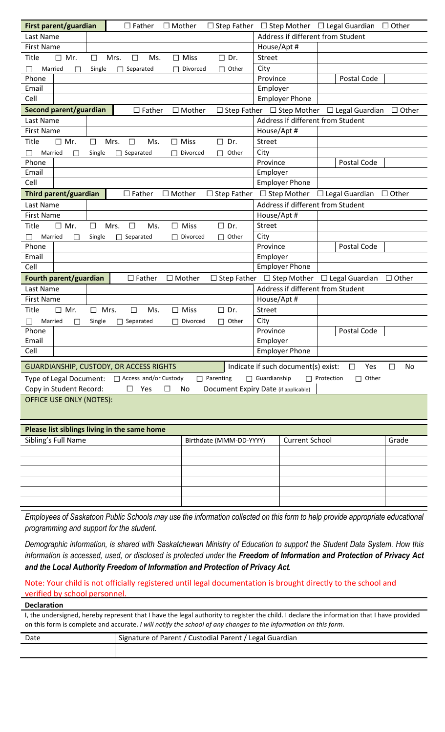| First parent/guardian                                                                                                  | $\square$ Father                             | $\Box$ Mother                |                                       |                                   | $\Box$ Step Father $\Box$ Step Mother $\Box$ Legal Guardian $\Box$ Other |              |
|------------------------------------------------------------------------------------------------------------------------|----------------------------------------------|------------------------------|---------------------------------------|-----------------------------------|--------------------------------------------------------------------------|--------------|
| Last Name                                                                                                              |                                              |                              |                                       | Address if different from Student |                                                                          |              |
| <b>First Name</b>                                                                                                      |                                              |                              | House/Apt #                           |                                   |                                                                          |              |
| Mr.<br>Title<br>$\Box$                                                                                                 | Mrs.<br>$\Box$<br>Ms.<br>□                   | $\square$ Dr.<br>$\Box$ Miss | <b>Street</b>                         |                                   |                                                                          |              |
| Married<br>П                                                                                                           | Separated<br>Single<br>П                     | Divorced<br>П                | City<br>$\Box$ Other                  |                                   |                                                                          |              |
| Phone                                                                                                                  |                                              |                              | Province                              |                                   | Postal Code                                                              |              |
| Email                                                                                                                  |                                              |                              | Employer                              |                                   |                                                                          |              |
| Cell                                                                                                                   |                                              |                              |                                       | <b>Employer Phone</b>             |                                                                          |              |
| Second parent/guardian                                                                                                 | $\Box$ Father                                | $\Box$ Mother                |                                       |                                   | $\Box$ Step Father $\Box$ Step Mother $\Box$ Legal Guardian              | $\Box$ Other |
| Last Name                                                                                                              |                                              |                              |                                       |                                   | Address if different from Student                                        |              |
| <b>First Name</b>                                                                                                      |                                              |                              | House/Apt #                           |                                   |                                                                          |              |
| <b>Title</b><br>$\Box$ Mr.                                                                                             | Mrs.<br>Ms.<br>$\Box$<br>$\Box$              | $\Box$ Miss<br>$\Box$        | Dr.<br><b>Street</b>                  |                                   |                                                                          |              |
| Married<br>П                                                                                                           | Separated<br>Single<br>П                     | Divorced<br>П<br>П           | City<br>Other                         |                                   |                                                                          |              |
| Phone                                                                                                                  |                                              |                              | Province                              |                                   | Postal Code                                                              |              |
| Email                                                                                                                  |                                              |                              | Employer                              |                                   |                                                                          |              |
| Cell                                                                                                                   |                                              |                              |                                       | <b>Employer Phone</b>             |                                                                          |              |
| Third parent/guardian                                                                                                  | $\Box$ Father                                | $\Box$ Mother                | $\Box$ Step Father                    |                                   | $\Box$ Step Mother $\Box$ Legal Guardian                                 | $\Box$ Other |
| Last Name                                                                                                              |                                              |                              |                                       |                                   | Address if different from Student                                        |              |
| <b>First Name</b>                                                                                                      |                                              |                              | House/Apt #                           |                                   |                                                                          |              |
| $\Box$ Mr.<br>Title                                                                                                    | Mrs.<br>$\Box$<br>Ms.<br>□                   | Miss<br>$\Box$ Dr.<br>П      | <b>Street</b>                         |                                   |                                                                          |              |
| Married<br>П                                                                                                           | Single<br>Separated                          | Divorced                     | City<br>$\Box$ Other                  |                                   |                                                                          |              |
| Phone                                                                                                                  |                                              |                              | Province                              |                                   | Postal Code                                                              |              |
| Email                                                                                                                  |                                              |                              | Employer                              |                                   |                                                                          |              |
| Cell                                                                                                                   |                                              |                              |                                       | <b>Employer Phone</b>             |                                                                          |              |
| Fourth parent/guardian                                                                                                 | $\Box$ Father                                | $\Box$ Mother                | $\Box$ Step Father $\Box$ Step Mother |                                   | $\Box$ Legal Guardian                                                    | $\Box$ Other |
| Last Name                                                                                                              |                                              |                              |                                       |                                   | Address if different from Student                                        |              |
| <b>First Name</b>                                                                                                      |                                              |                              | House/Apt #                           |                                   |                                                                          |              |
| <b>Title</b><br>$\Box$ Mr.                                                                                             | $\Box$<br>$\square$ Mrs.<br>Ms.              | $\Box$ Miss<br>$\square$ Dr. | Street                                |                                   |                                                                          |              |
| Married<br>П                                                                                                           | Single<br>Separated                          | Divorced                     | City<br>$\Box$ Other                  |                                   |                                                                          |              |
| Phone                                                                                                                  |                                              |                              | Province                              |                                   | Postal Code                                                              |              |
| Email                                                                                                                  |                                              |                              | Employer                              |                                   |                                                                          |              |
| Cell                                                                                                                   |                                              |                              |                                       | <b>Employer Phone</b>             |                                                                          |              |
| Indicate if such document(s) exist:<br><b>GUARDIANSHIP, CUSTODY, OR ACCESS RIGHTS</b><br>Yes<br>No<br>$\Box$<br>$\Box$ |                                              |                              |                                       |                                   |                                                                          |              |
| □ Access and/or Custody<br>$\Box$ Guardianship<br>$\Box$ Protection<br>Other<br>Type of Legal Document:<br>Parenting   |                                              |                              |                                       |                                   |                                                                          |              |
| Copy in Student Record:<br>Document Expiry Date (if applicable)<br>Yes<br>$\Box$<br>□<br>No                            |                                              |                              |                                       |                                   |                                                                          |              |
| OFFICE USE ONLY (NOTES):                                                                                               |                                              |                              |                                       |                                   |                                                                          |              |
|                                                                                                                        |                                              |                              |                                       |                                   |                                                                          |              |
|                                                                                                                        |                                              |                              |                                       |                                   |                                                                          |              |
|                                                                                                                        | Please list siblings living in the same home |                              |                                       |                                   |                                                                          |              |
| Sibling's Full Name                                                                                                    |                                              | Birthdate (MMM-DD-YYYY)      |                                       | <b>Current School</b>             |                                                                          | Grade        |
|                                                                                                                        |                                              |                              |                                       |                                   |                                                                          |              |
|                                                                                                                        |                                              |                              |                                       |                                   |                                                                          |              |
|                                                                                                                        |                                              |                              |                                       |                                   |                                                                          |              |
|                                                                                                                        |                                              |                              |                                       |                                   |                                                                          |              |
|                                                                                                                        |                                              |                              |                                       |                                   |                                                                          |              |
|                                                                                                                        |                                              |                              |                                       |                                   |                                                                          |              |
|                                                                                                                        |                                              |                              |                                       |                                   |                                                                          |              |

Employees of Saskatoon Public Schools may use the information collected on this form to help provide appropriate educational *programming and support for the student.*

*Demographic information, is shared with Saskatchewan Ministry of Education to support the Student Data System. How this information is accessed, used, or disclosed is protected under the Freedom of Information and Protection of Privacy Act and the Local Authority Freedom of Information and Protection of Privacy Act.*

## Note: Your child is not officially registered until legal documentation is brought directly to the school and verified by school personnel.

**Declaration**

I, the undersigned, hereby represent that I have the legal authority to register the child. I declare the information that I have provided on this form is complete and accurate. *I will notify the school of any changes to the information on this form.*

| Date | Signature of Parent / Custodial Parent / Legal Guardian |  |  |
|------|---------------------------------------------------------|--|--|
|      |                                                         |  |  |